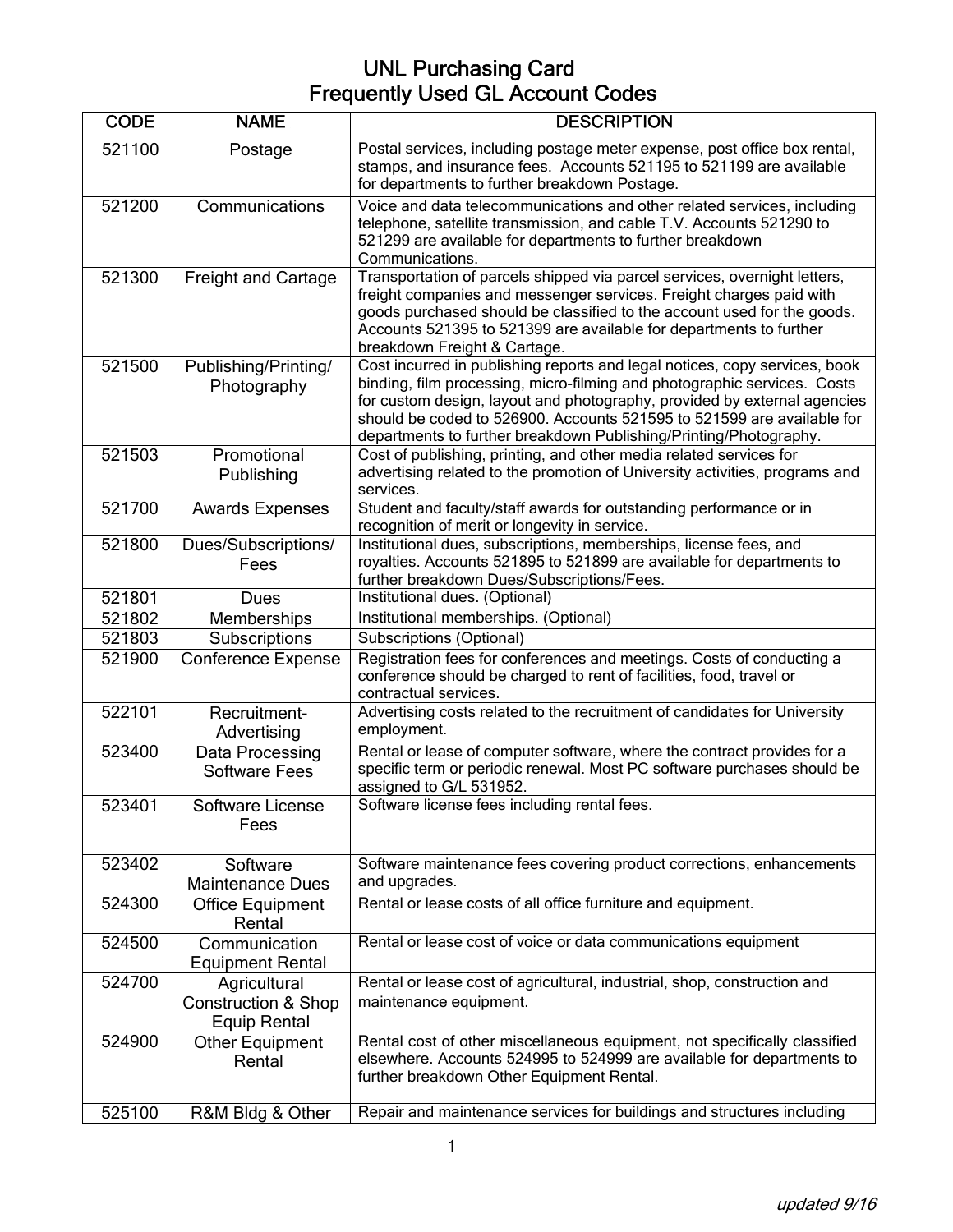| <b>CODE</b> | <b>NAME</b>                                                           | <b>DESCRIPTION</b>                                                                                                                                                                                                                                                                                                                                                                |
|-------------|-----------------------------------------------------------------------|-----------------------------------------------------------------------------------------------------------------------------------------------------------------------------------------------------------------------------------------------------------------------------------------------------------------------------------------------------------------------------------|
| 521100      | Postage                                                               | Postal services, including postage meter expense, post office box rental,<br>stamps, and insurance fees. Accounts 521195 to 521199 are available<br>for departments to further breakdown Postage.                                                                                                                                                                                 |
| 521200      | Communications                                                        | Voice and data telecommunications and other related services, including<br>telephone, satellite transmission, and cable T.V. Accounts 521290 to<br>521299 are available for departments to further breakdown<br>Communications.                                                                                                                                                   |
| 521300      | <b>Freight and Cartage</b>                                            | Transportation of parcels shipped via parcel services, overnight letters,<br>freight companies and messenger services. Freight charges paid with<br>goods purchased should be classified to the account used for the goods.<br>Accounts 521395 to 521399 are available for departments to further<br>breakdown Freight & Cartage.                                                 |
| 521500      | Publishing/Printing/<br>Photography                                   | Cost incurred in publishing reports and legal notices, copy services, book<br>binding, film processing, micro-filming and photographic services. Costs<br>for custom design, layout and photography, provided by external agencies<br>should be coded to 526900. Accounts 521595 to 521599 are available for<br>departments to further breakdown Publishing/Printing/Photography. |
| 521503      | Promotional<br>Publishing                                             | Cost of publishing, printing, and other media related services for<br>advertising related to the promotion of University activities, programs and<br>services.                                                                                                                                                                                                                    |
| 521700      | <b>Awards Expenses</b>                                                | Student and faculty/staff awards for outstanding performance or in<br>recognition of merit or longevity in service.                                                                                                                                                                                                                                                               |
| 521800      | Dues/Subscriptions/<br>Fees                                           | Institutional dues, subscriptions, memberships, license fees, and<br>royalties. Accounts 521895 to 521899 are available for departments to<br>further breakdown Dues/Subscriptions/Fees.                                                                                                                                                                                          |
| 521801      | Dues                                                                  | Institutional dues. (Optional)                                                                                                                                                                                                                                                                                                                                                    |
| 521802      | <b>Memberships</b>                                                    | Institutional memberships. (Optional)                                                                                                                                                                                                                                                                                                                                             |
| 521803      | Subscriptions                                                         | Subscriptions (Optional)                                                                                                                                                                                                                                                                                                                                                          |
| 521900      | <b>Conference Expense</b>                                             | Registration fees for conferences and meetings. Costs of conducting a<br>conference should be charged to rent of facilities, food, travel or<br>contractual services.                                                                                                                                                                                                             |
| 522101      | Recruitment-<br>Advertising                                           | Advertising costs related to the recruitment of candidates for University<br>employment.                                                                                                                                                                                                                                                                                          |
| 523400      | Data Processing<br><b>Software Fees</b>                               | Rental or lease of computer software, where the contract provides for a<br>specific term or periodic renewal. Most PC software purchases should be<br>assigned to G/L 531952.                                                                                                                                                                                                     |
| 523401      | Software License<br>Fees                                              | Software license fees including rental fees.                                                                                                                                                                                                                                                                                                                                      |
| 523402      | Software<br><b>Maintenance Dues</b>                                   | Software maintenance fees covering product corrections, enhancements<br>and upgrades.                                                                                                                                                                                                                                                                                             |
| 524300      | <b>Office Equipment</b><br>Rental                                     | Rental or lease costs of all office furniture and equipment.                                                                                                                                                                                                                                                                                                                      |
| 524500      | Communication<br><b>Equipment Rental</b>                              | Rental or lease cost of voice or data communications equipment                                                                                                                                                                                                                                                                                                                    |
| 524700      | Agricultural<br><b>Construction &amp; Shop</b><br><b>Equip Rental</b> | Rental or lease cost of agricultural, industrial, shop, construction and<br>maintenance equipment.                                                                                                                                                                                                                                                                                |
| 524900      | Other Equipment<br>Rental                                             | Rental cost of other miscellaneous equipment, not specifically classified<br>elsewhere. Accounts 524995 to 524999 are available for departments to<br>further breakdown Other Equipment Rental.                                                                                                                                                                                   |
| 525100      | R&M Bldg & Other                                                      | Repair and maintenance services for buildings and structures including                                                                                                                                                                                                                                                                                                            |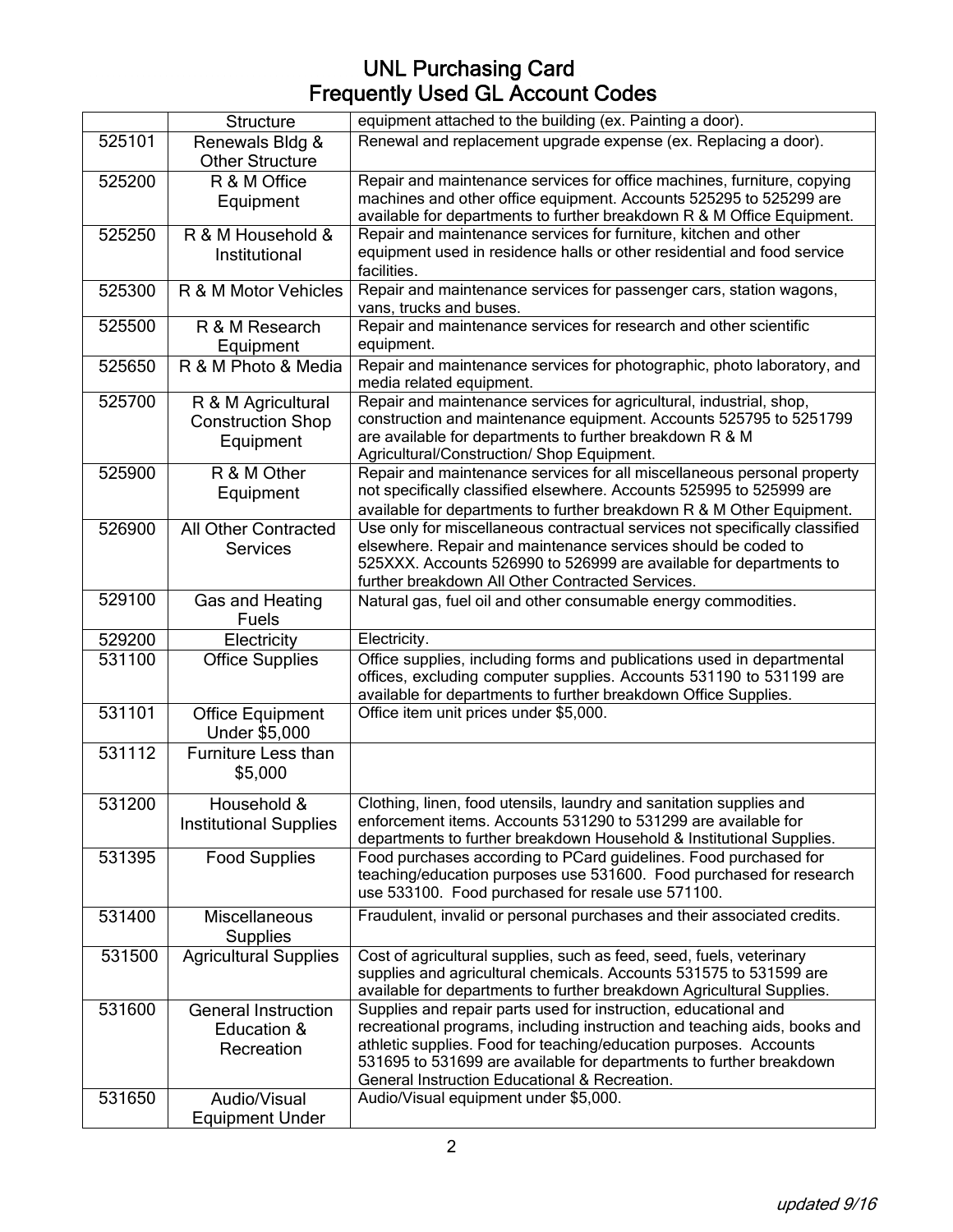|        | <b>Structure</b>                             | equipment attached to the building (ex. Painting a door).                                                                                                                                                     |
|--------|----------------------------------------------|---------------------------------------------------------------------------------------------------------------------------------------------------------------------------------------------------------------|
| 525101 | Renewals Bldg &<br><b>Other Structure</b>    | Renewal and replacement upgrade expense (ex. Replacing a door).                                                                                                                                               |
| 525200 | R & M Office                                 | Repair and maintenance services for office machines, furniture, copying                                                                                                                                       |
|        | Equipment                                    | machines and other office equipment. Accounts 525295 to 525299 are<br>available for departments to further breakdown R & M Office Equipment.                                                                  |
| 525250 | R & M Household &                            | Repair and maintenance services for furniture, kitchen and other                                                                                                                                              |
|        | Institutional                                | equipment used in residence halls or other residential and food service<br>facilities.                                                                                                                        |
| 525300 | R & M Motor Vehicles                         | Repair and maintenance services for passenger cars, station wagons,<br>vans, trucks and buses.                                                                                                                |
| 525500 | R & M Research<br>Equipment                  | Repair and maintenance services for research and other scientific<br>equipment.                                                                                                                               |
| 525650 | R & M Photo & Media                          | Repair and maintenance services for photographic, photo laboratory, and<br>media related equipment.                                                                                                           |
| 525700 | R & M Agricultural                           | Repair and maintenance services for agricultural, industrial, shop,                                                                                                                                           |
|        | <b>Construction Shop</b><br>Equipment        | construction and maintenance equipment. Accounts 525795 to 5251799<br>are available for departments to further breakdown R & M<br>Agricultural/Construction/ Shop Equipment.                                  |
| 525900 | R & M Other                                  | Repair and maintenance services for all miscellaneous personal property                                                                                                                                       |
|        | Equipment                                    | not specifically classified elsewhere. Accounts 525995 to 525999 are                                                                                                                                          |
| 526900 | <b>All Other Contracted</b>                  | available for departments to further breakdown R & M Other Equipment.<br>Use only for miscellaneous contractual services not specifically classified                                                          |
|        | <b>Services</b>                              | elsewhere. Repair and maintenance services should be coded to                                                                                                                                                 |
|        |                                              | 525XXX. Accounts 526990 to 526999 are available for departments to<br>further breakdown All Other Contracted Services.                                                                                        |
| 529100 | Gas and Heating<br>Fuels                     | Natural gas, fuel oil and other consumable energy commodities.                                                                                                                                                |
| 529200 | Electricity                                  | Electricity.                                                                                                                                                                                                  |
| 531100 | <b>Office Supplies</b>                       | Office supplies, including forms and publications used in departmental                                                                                                                                        |
|        |                                              | offices, excluding computer supplies. Accounts 531190 to 531199 are<br>available for departments to further breakdown Office Supplies.                                                                        |
| 531101 | <b>Office Equipment</b><br>Under \$5,000     | Office item unit prices under \$5,000.                                                                                                                                                                        |
| 531112 | <b>Furniture Less than</b><br>\$5,000        |                                                                                                                                                                                                               |
| 531200 | Household &<br><b>Institutional Supplies</b> | Clothing, linen, food utensils, laundry and sanitation supplies and<br>enforcement items. Accounts 531290 to 531299 are available for<br>departments to further breakdown Household & Institutional Supplies. |
| 531395 | <b>Food Supplies</b>                         | Food purchases according to PCard guidelines. Food purchased for                                                                                                                                              |
|        |                                              | teaching/education purposes use 531600. Food purchased for research<br>use 533100. Food purchased for resale use 571100.                                                                                      |
| 531400 | <b>Miscellaneous</b><br><b>Supplies</b>      | Fraudulent, invalid or personal purchases and their associated credits.                                                                                                                                       |
| 531500 | <b>Agricultural Supplies</b>                 | Cost of agricultural supplies, such as feed, seed, fuels, veterinary                                                                                                                                          |
|        |                                              | supplies and agricultural chemicals. Accounts 531575 to 531599 are<br>available for departments to further breakdown Agricultural Supplies.                                                                   |
| 531600 | <b>General Instruction</b>                   | Supplies and repair parts used for instruction, educational and                                                                                                                                               |
|        | Education &                                  | recreational programs, including instruction and teaching aids, books and                                                                                                                                     |
|        | Recreation                                   | athletic supplies. Food for teaching/education purposes. Accounts                                                                                                                                             |
|        |                                              | 531695 to 531699 are available for departments to further breakdown<br>General Instruction Educational & Recreation.                                                                                          |
| 531650 | Audio/Visual                                 | Audio/Visual equipment under \$5,000.                                                                                                                                                                         |
|        | <b>Equipment Under</b>                       |                                                                                                                                                                                                               |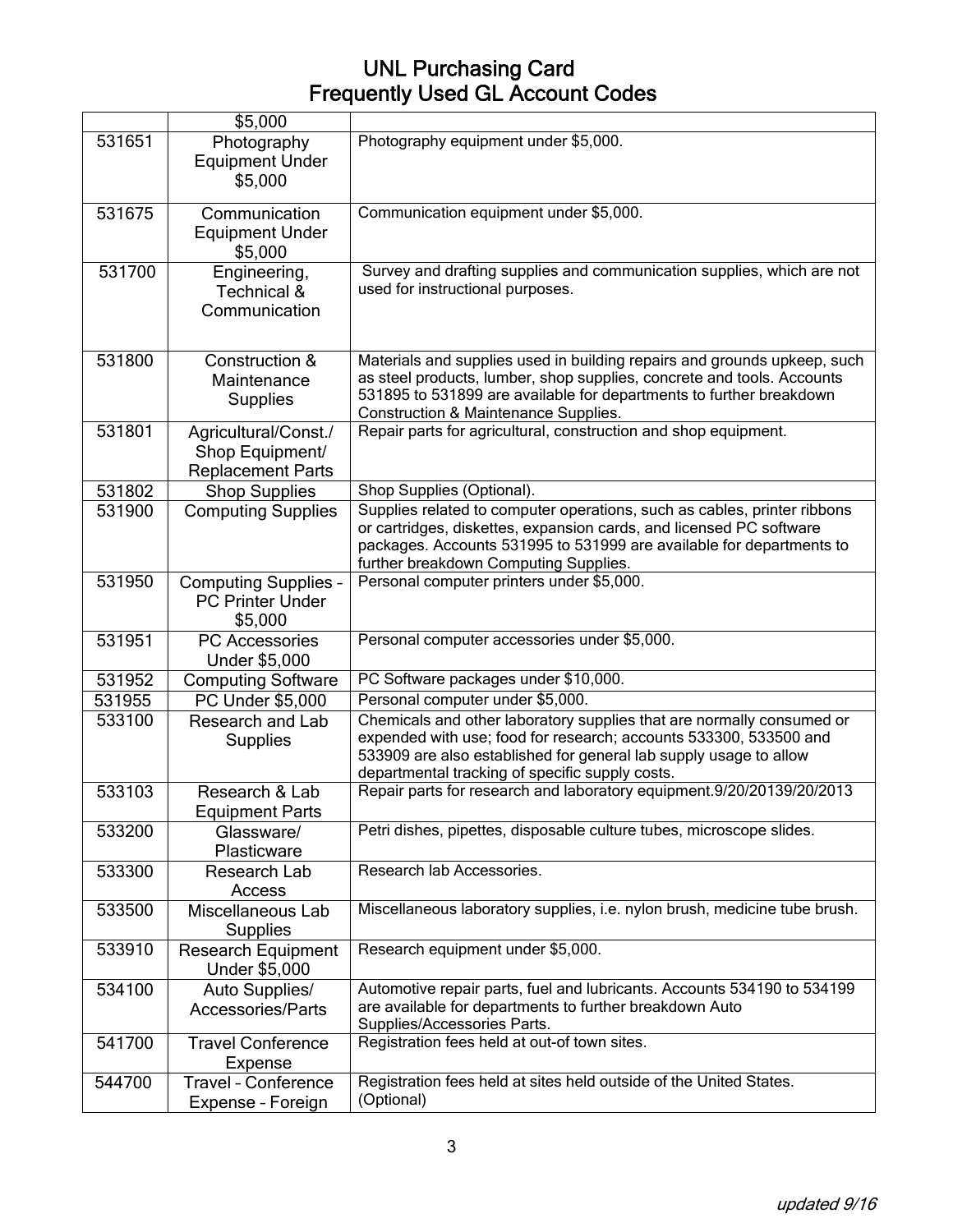|        | \$5,000                                                             |                                                                                                                                                                                                                                                                    |
|--------|---------------------------------------------------------------------|--------------------------------------------------------------------------------------------------------------------------------------------------------------------------------------------------------------------------------------------------------------------|
| 531651 | Photography<br><b>Equipment Under</b><br>\$5,000                    | Photography equipment under \$5,000.                                                                                                                                                                                                                               |
| 531675 | Communication<br><b>Equipment Under</b><br>\$5,000                  | Communication equipment under \$5,000.                                                                                                                                                                                                                             |
| 531700 | Engineering,<br>Technical &<br>Communication                        | Survey and drafting supplies and communication supplies, which are not<br>used for instructional purposes.                                                                                                                                                         |
| 531800 | Construction &<br>Maintenance<br><b>Supplies</b>                    | Materials and supplies used in building repairs and grounds upkeep, such<br>as steel products, lumber, shop supplies, concrete and tools. Accounts<br>531895 to 531899 are available for departments to further breakdown<br>Construction & Maintenance Supplies.  |
| 531801 | Agricultural/Const./<br>Shop Equipment/<br><b>Replacement Parts</b> | Repair parts for agricultural, construction and shop equipment.                                                                                                                                                                                                    |
| 531802 | <b>Shop Supplies</b>                                                | Shop Supplies (Optional).                                                                                                                                                                                                                                          |
| 531900 | <b>Computing Supplies</b>                                           | Supplies related to computer operations, such as cables, printer ribbons<br>or cartridges, diskettes, expansion cards, and licensed PC software<br>packages. Accounts 531995 to 531999 are available for departments to<br>further breakdown Computing Supplies.   |
| 531950 | <b>Computing Supplies -</b><br><b>PC Printer Under</b><br>\$5,000   | Personal computer printers under \$5,000.                                                                                                                                                                                                                          |
| 531951 | PC Accessories<br>Under \$5,000                                     | Personal computer accessories under \$5,000.                                                                                                                                                                                                                       |
| 531952 | <b>Computing Software</b>                                           | PC Software packages under \$10,000.                                                                                                                                                                                                                               |
| 531955 | PC Under \$5,000                                                    | Personal computer under \$5,000.                                                                                                                                                                                                                                   |
| 533100 | Research and Lab<br>Supplies                                        | Chemicals and other laboratory supplies that are normally consumed or<br>expended with use; food for research; accounts 533300, 533500 and<br>533909 are also established for general lab supply usage to allow<br>departmental tracking of specific supply costs. |
| 533103 | Research & Lab<br><b>Equipment Parts</b>                            | Repair parts for research and laboratory equipment.9/20/20139/20/2013                                                                                                                                                                                              |
| 533200 | Glassware/<br>Plasticware                                           | Petri dishes, pipettes, disposable culture tubes, microscope slides.                                                                                                                                                                                               |
| 533300 | Research Lab<br>Access                                              | Research lab Accessories.                                                                                                                                                                                                                                          |
| 533500 | Miscellaneous Lab<br><b>Supplies</b>                                | Miscellaneous laboratory supplies, i.e. nylon brush, medicine tube brush.                                                                                                                                                                                          |
| 533910 | <b>Research Equipment</b><br>Under \$5,000                          | Research equipment under \$5,000.                                                                                                                                                                                                                                  |
| 534100 | Auto Supplies/<br><b>Accessories/Parts</b>                          | Automotive repair parts, fuel and lubricants. Accounts 534190 to 534199<br>are available for departments to further breakdown Auto<br>Supplies/Accessories Parts.                                                                                                  |
| 541700 | <b>Travel Conference</b><br>Expense                                 | Registration fees held at out-of town sites.                                                                                                                                                                                                                       |
| 544700 | <b>Travel - Conference</b><br>Expense - Foreign                     | Registration fees held at sites held outside of the United States.<br>(Optional)                                                                                                                                                                                   |